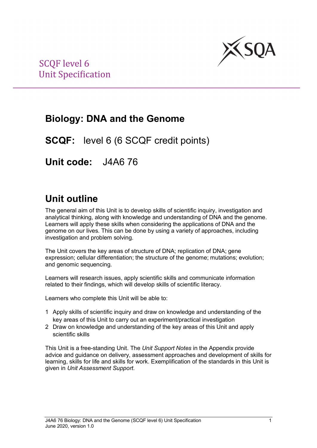

## **Biology: DNA and the Genome**

**SCQF:** level 6 (6 SCQF credit points)

**Unit code:** J4A6 76

## **Unit outline**

The general aim of this Unit is to develop skills of scientific inquiry, investigation and analytical thinking, along with knowledge and understanding of DNA and the genome. Learners will apply these skills when considering the applications of DNA and the genome on our lives. This can be done by using a variety of approaches, including investigation and problem solving.

The Unit covers the key areas of structure of DNA; replication of DNA; gene expression; cellular differentiation; the structure of the genome; mutations; evolution; and genomic sequencing.

Learners will research issues, apply scientific skills and communicate information related to their findings, which will develop skills of scientific literacy.

Learners who complete this Unit will be able to:

- 1 Apply skills of scientific inquiry and draw on knowledge and understanding of the key areas of this Unit to carry out an experiment/practical investigation
- 2 Draw on knowledge and understanding of the key areas of this Unit and apply scientific skills

This Unit is a free-standing Unit. The *Unit Support Notes* in the Appendix provide advice and guidance on delivery, assessment approaches and development of skills for learning, skills for life and skills for work. Exemplification of the standards in this Unit is given in *Unit Assessment Support*.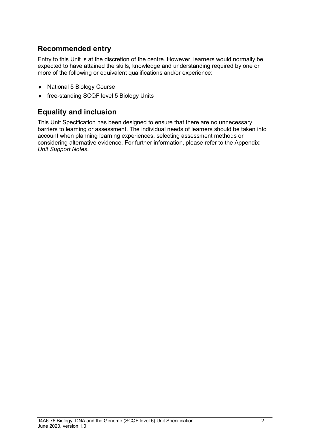### **Recommended entry**

Entry to this Unit is at the discretion of the centre. However, learners would normally be expected to have attained the skills, knowledge and understanding required by one or more of the following or equivalent qualifications and/or experience:

- ♦ National 5 Biology Course
- ♦ free-standing SCQF level 5 Biology Units

### **Equality and inclusion**

This Unit Specification has been designed to ensure that there are no unnecessary barriers to learning or assessment. The individual needs of learners should be taken into account when planning learning experiences, selecting assessment methods or considering alternative evidence. For further information, please refer to the Appendix: *Unit Support Notes.*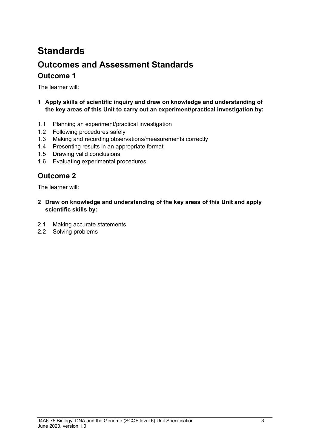# **Standards Outcomes and Assessment Standards Outcome 1**

The learner will:

- **1 Apply skills of scientific inquiry and draw on knowledge and understanding of the key areas of this Unit to carry out an experiment/practical investigation by:**
- 1.1 Planning an experiment/practical investigation
- 1.2 Following procedures safely
- 1.3 Making and recording observations/measurements correctly
- 1.4 Presenting results in an appropriate format
- 1.5 Drawing valid conclusions
- 1.6 Evaluating experimental procedures

### **Outcome 2**

The learner will:

- **2 Draw on knowledge and understanding of the key areas of this Unit and apply scientific skills by:**
- 2.1 Making accurate statements
- 2.2 Solving problems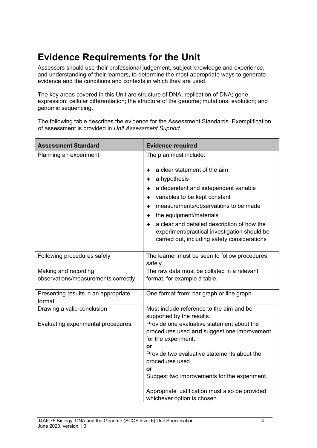## **Evidence Requirements for the Unit**

Assessors should use their professional judgement, subject knowledge and experience, and understanding of their learners, to determine the most appropriate ways to generate evidence and the conditions and contexts in which they are used.

The key areas covered in this Unit are structure of DNA; replication of DNA; gene expression; cellular differentiation; the structure of the genome; mutations; evolution; and genomic sequencing.

The following table describes the evidence for the Assessment Standards. Exemplification of assessment is provided in *Unit Assessment Support*.

| <b>Assessment Standard</b>                     | <b>Evidence required</b>                                           |  |
|------------------------------------------------|--------------------------------------------------------------------|--|
| Planning an experiment                         | The plan must include:                                             |  |
|                                                | a clear statement of the aim                                       |  |
|                                                | a hypothesis                                                       |  |
|                                                | a dependent and independent variable                               |  |
|                                                | variables to be kept constant                                      |  |
|                                                | measurements/observations to be made                               |  |
|                                                | the equipment/materials                                            |  |
|                                                | a clear and detailed description of how the                        |  |
|                                                | experiment/practical investigation should be                       |  |
|                                                | carried out, including safety considerations                       |  |
| Following procedures safely                    | The learner must be seen to follow procedures<br>safely.           |  |
| Making and recording                           | The raw data must be collated in a relevant                        |  |
| observations/measurements correctly            | format, for example a table.                                       |  |
| Presenting results in an appropriate<br>format | One format from: bar graph or line graph.                          |  |
| Drawing a valid conclusion                     | Must include reference to the aim and be                           |  |
|                                                | supported by the results.                                          |  |
| Evaluating experimental procedures             | Provide one evaluative statement about the                         |  |
|                                                | procedures used and suggest one improvement<br>for the experiment. |  |
|                                                | or                                                                 |  |
|                                                | Provide two evaluative statements about the                        |  |
|                                                | procedures used.                                                   |  |
|                                                | or                                                                 |  |
|                                                | Suggest two improvements for the experiment.                       |  |
|                                                | Appropriate justification must also be provided                    |  |
|                                                | whichever option is chosen.                                        |  |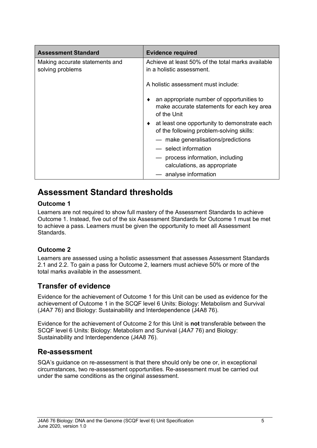| <b>Assessment Standard</b>                         | <b>Evidence required</b>                                                                                    |  |
|----------------------------------------------------|-------------------------------------------------------------------------------------------------------------|--|
| Making accurate statements and<br>solving problems | Achieve at least 50% of the total marks available<br>in a holistic assessment.                              |  |
|                                                    | A holistic assessment must include:                                                                         |  |
|                                                    | an appropriate number of opportunities to<br>٠<br>make accurate statements for each key area<br>of the Unit |  |
|                                                    | at least one opportunity to demonstrate each<br>of the following problem-solving skills:                    |  |
|                                                    | — make generalisations/predictions                                                                          |  |
|                                                    | — select information                                                                                        |  |
|                                                    | process information, including<br>calculations, as appropriate                                              |  |
|                                                    | - analyse information                                                                                       |  |

### **Assessment Standard thresholds**

#### **Outcome 1**

Learners are not required to show full mastery of the Assessment Standards to achieve Outcome 1. Instead, five out of the six Assessment Standards for Outcome 1 must be met to achieve a pass. Learners must be given the opportunity to meet all Assessment Standards.

#### **Outcome 2**

Learners are assessed using a holistic assessment that assesses Assessment Standards 2.1 and 2.2. To gain a pass for Outcome 2, learners must achieve 50% or more of the total marks available in the assessment.

### **Transfer of evidence**

Evidence for the achievement of Outcome 1 for this Unit can be used as evidence for the achievement of Outcome 1 in the SCQF level 6 Units: Biology: Metabolism and Survival (J4A7 76) and Biology: Sustainability and Interdependence (J4A8 76).

Evidence for the achievement of Outcome 2 for this Unit is **not** transferable between the SCQF level 6 Units: Biology: Metabolism and Survival (J4A7 76) and Biology: Sustainability and Interdependence (J4A8 76).

### **Re-assessment**

SQA's guidance on re-assessment is that there should only be one or, in exceptional circumstances, two re-assessment opportunities. Re-assessment must be carried out under the same conditions as the original assessment.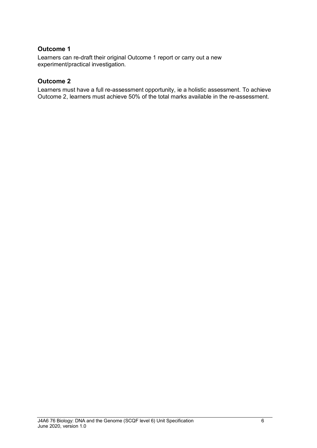#### **Outcome 1**

Learners can re-draft their original Outcome 1 report or carry out a new experiment/practical investigation.

#### **Outcome 2**

Learners must have a full re-assessment opportunity, ie a holistic assessment. To achieve Outcome 2, learners must achieve 50% of the total marks available in the re-assessment.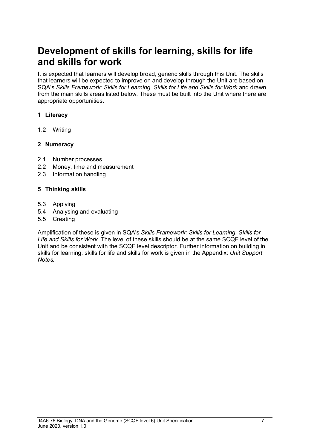## **Development of skills for learning, skills for life and skills for work**

It is expected that learners will develop broad, generic skills through this Unit. The skills that learners will be expected to improve on and develop through the Unit are based on SQA's *Skills Framework: Skills for Learning, Skills for Life and Skills for Work* and drawn from the main skills areas listed below. These must be built into the Unit where there are appropriate opportunities.

#### **1 Literacy**

1.2 Writing

#### **2 Numeracy**

- 2.1 Number processes
- 2.2 Money, time and measurement
- 2.3 Information handling

#### **5 Thinking skills**

- 5.3 Applying
- 5.4 Analysing and evaluating
- 5.5 Creating

Amplification of these is given in SQA's *Skills Framework: Skills for Learning, Skills for Life and Skills for Work.* The level of these skills should be at the same SCQF level of the Unit and be consistent with the SCQF level descriptor. Further information on building in skills for learning, skills for life and skills for work is given in the Appendix: *Unit Support Notes.*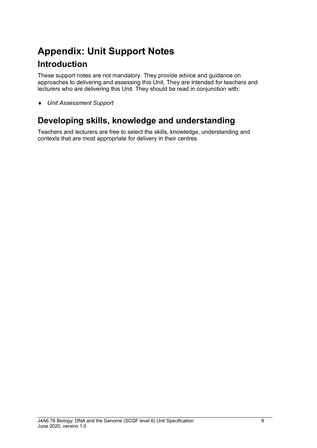# **Appendix: Unit Support Notes Introduction**

These support notes are not mandatory. They provide advice and guidance on approaches to delivering and assessing this Unit. They are intended for teachers and lecturers who are delivering this Unit. They should be read in conjunction with:

♦ *Unit Assessment Support* 

### **Developing skills, knowledge and understanding**

Teachers and lecturers are free to select the skills, knowledge, understanding and contexts that are most appropriate for delivery in their centres.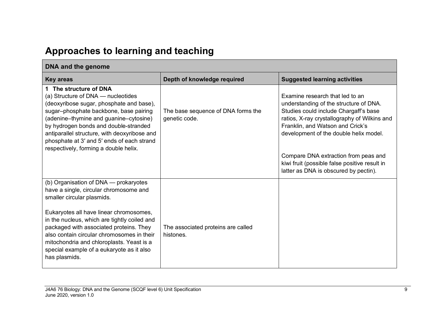## **Approaches to learning and teaching**

| DNA and the genome                                                                                                                                                                                                                                                                                                                                                           |                                                     |                                                                                                                                                                                                                                                  |
|------------------------------------------------------------------------------------------------------------------------------------------------------------------------------------------------------------------------------------------------------------------------------------------------------------------------------------------------------------------------------|-----------------------------------------------------|--------------------------------------------------------------------------------------------------------------------------------------------------------------------------------------------------------------------------------------------------|
| <b>Key areas</b>                                                                                                                                                                                                                                                                                                                                                             | Depth of knowledge required                         | <b>Suggested learning activities</b>                                                                                                                                                                                                             |
| 1 The structure of DNA<br>(a) Structure of DNA - nucleotides<br>(deoxyribose sugar, phosphate and base),<br>sugar-phosphate backbone, base pairing<br>(adenine-thymine and guanine-cytosine)<br>by hydrogen bonds and double-stranded<br>antiparallel structure, with deoxyribose and<br>phosphate at 3' and 5' ends of each strand<br>respectively, forming a double helix. | The base sequence of DNA forms the<br>genetic code. | Examine research that led to an<br>understanding of the structure of DNA.<br>Studies could include Chargaff's base<br>ratios, X-ray crystallography of Wilkins and<br>Franklin, and Watson and Crick's<br>development of the double helix model. |
|                                                                                                                                                                                                                                                                                                                                                                              |                                                     | Compare DNA extraction from peas and<br>kiwi fruit (possible false positive result in<br>latter as DNA is obscured by pectin).                                                                                                                   |
| (b) Organisation of DNA — prokaryotes<br>have a single, circular chromosome and<br>smaller circular plasmids.                                                                                                                                                                                                                                                                |                                                     |                                                                                                                                                                                                                                                  |
| Eukaryotes all have linear chromosomes,<br>in the nucleus, which are tightly coiled and<br>packaged with associated proteins. They<br>also contain circular chromosomes in their<br>mitochondria and chloroplasts. Yeast is a<br>special example of a eukaryote as it also<br>has plasmids.                                                                                  | The associated proteins are called<br>histones.     |                                                                                                                                                                                                                                                  |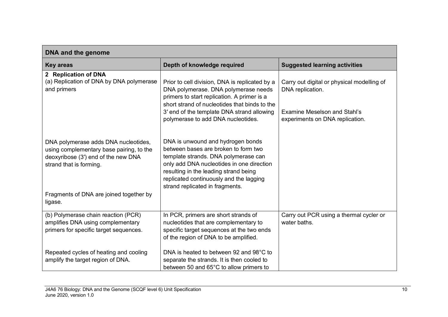| DNA and the genome                                                                                                                                 |                                                                                                                                                                                                                                                                                       |                                                                        |
|----------------------------------------------------------------------------------------------------------------------------------------------------|---------------------------------------------------------------------------------------------------------------------------------------------------------------------------------------------------------------------------------------------------------------------------------------|------------------------------------------------------------------------|
| <b>Key areas</b>                                                                                                                                   | Depth of knowledge required                                                                                                                                                                                                                                                           | <b>Suggested learning activities</b>                                   |
| 2 Replication of DNA<br>(a) Replication of DNA by DNA polymerase<br>and primers                                                                    | Prior to cell division, DNA is replicated by a<br>DNA polymerase. DNA polymerase needs<br>primers to start replication. A primer is a<br>short strand of nucleotides that binds to the                                                                                                | Carry out digital or physical modelling of<br>DNA replication.         |
|                                                                                                                                                    | 3' end of the template DNA strand allowing<br>polymerase to add DNA nucleotides.                                                                                                                                                                                                      | <b>Examine Meselson and Stahl's</b><br>experiments on DNA replication. |
| DNA polymerase adds DNA nucleotides,<br>using complementary base pairing, to the<br>deoxyribose (3') end of the new DNA<br>strand that is forming. | DNA is unwound and hydrogen bonds<br>between bases are broken to form two<br>template strands. DNA polymerase can<br>only add DNA nucleotides in one direction<br>resulting in the leading strand being<br>replicated continuously and the lagging<br>strand replicated in fragments. |                                                                        |
| Fragments of DNA are joined together by<br>ligase.                                                                                                 |                                                                                                                                                                                                                                                                                       |                                                                        |
| (b) Polymerase chain reaction (PCR)<br>amplifies DNA using complementary<br>primers for specific target sequences.                                 | In PCR, primers are short strands of<br>nucleotides that are complementary to<br>specific target sequences at the two ends<br>of the region of DNA to be amplified.                                                                                                                   | Carry out PCR using a thermal cycler or<br>water baths.                |
| Repeated cycles of heating and cooling<br>amplify the target region of DNA.                                                                        | DNA is heated to between 92 and 98°C to<br>separate the strands. It is then cooled to<br>between 50 and 65°C to allow primers to                                                                                                                                                      |                                                                        |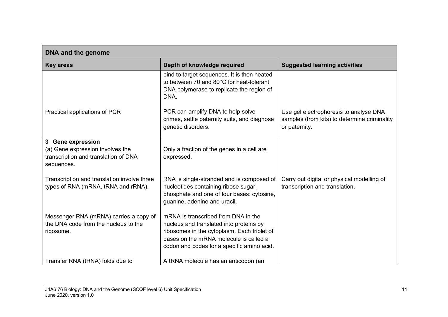| DNA and the genome                                                                                          |                                                                                                                                                                                                                       |                                                                                                         |
|-------------------------------------------------------------------------------------------------------------|-----------------------------------------------------------------------------------------------------------------------------------------------------------------------------------------------------------------------|---------------------------------------------------------------------------------------------------------|
| <b>Key areas</b>                                                                                            | Depth of knowledge required                                                                                                                                                                                           | <b>Suggested learning activities</b>                                                                    |
|                                                                                                             | bind to target sequences. It is then heated<br>to between 70 and 80°C for heat-tolerant<br>DNA polymerase to replicate the region of<br>DNA.                                                                          |                                                                                                         |
| Practical applications of PCR                                                                               | PCR can amplify DNA to help solve<br>crimes, settle paternity suits, and diagnose<br>genetic disorders.                                                                                                               | Use gel electrophoresis to analyse DNA<br>samples (from kits) to determine criminality<br>or paternity. |
| 3 Gene expression<br>(a) Gene expression involves the<br>transcription and translation of DNA<br>sequences. | Only a fraction of the genes in a cell are<br>expressed.                                                                                                                                                              |                                                                                                         |
| Transcription and translation involve three<br>types of RNA (mRNA, tRNA and rRNA).                          | RNA is single-stranded and is composed of<br>nucleotides containing ribose sugar,<br>phosphate and one of four bases: cytosine,<br>guanine, adenine and uracil.                                                       | Carry out digital or physical modelling of<br>transcription and translation.                            |
| Messenger RNA (mRNA) carries a copy of<br>the DNA code from the nucleus to the<br>ribosome.                 | mRNA is transcribed from DNA in the<br>nucleus and translated into proteins by<br>ribosomes in the cytoplasm. Each triplet of<br>bases on the mRNA molecule is called a<br>codon and codes for a specific amino acid. |                                                                                                         |
| Transfer RNA (tRNA) folds due to                                                                            | A tRNA molecule has an anticodon (an                                                                                                                                                                                  |                                                                                                         |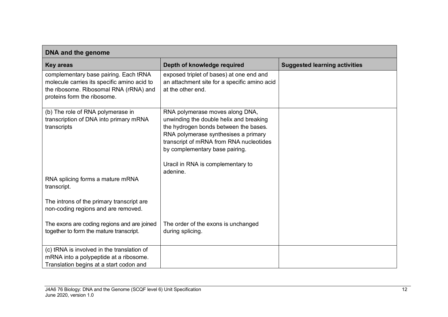| DNA and the genome                                                                                                                                            |                                                                                                                                                                                                                                                                               |                                      |
|---------------------------------------------------------------------------------------------------------------------------------------------------------------|-------------------------------------------------------------------------------------------------------------------------------------------------------------------------------------------------------------------------------------------------------------------------------|--------------------------------------|
| <b>Key areas</b>                                                                                                                                              | Depth of knowledge required                                                                                                                                                                                                                                                   | <b>Suggested learning activities</b> |
| complementary base pairing. Each tRNA<br>molecule carries its specific amino acid to<br>the ribosome. Ribosomal RNA (rRNA) and<br>proteins form the ribosome. | exposed triplet of bases) at one end and<br>an attachment site for a specific amino acid<br>at the other end.                                                                                                                                                                 |                                      |
| (b) The role of RNA polymerase in<br>transcription of DNA into primary mRNA<br>transcripts                                                                    | RNA polymerase moves along DNA,<br>unwinding the double helix and breaking<br>the hydrogen bonds between the bases.<br>RNA polymerase synthesises a primary<br>transcript of mRNA from RNA nucleotides<br>by complementary base pairing.<br>Uracil in RNA is complementary to |                                      |
| RNA splicing forms a mature mRNA<br>transcript.                                                                                                               | adenine.                                                                                                                                                                                                                                                                      |                                      |
| The introns of the primary transcript are<br>non-coding regions and are removed.                                                                              |                                                                                                                                                                                                                                                                               |                                      |
| The exons are coding regions and are joined<br>together to form the mature transcript.                                                                        | The order of the exons is unchanged<br>during splicing.                                                                                                                                                                                                                       |                                      |
| (c) tRNA is involved in the translation of<br>mRNA into a polypeptide at a ribosome.<br>Translation begins at a start codon and                               |                                                                                                                                                                                                                                                                               |                                      |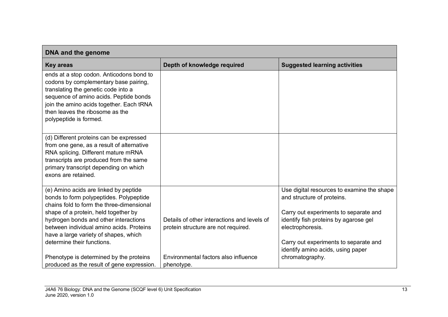| DNA and the genome                                                                                                                                                                                                                                                                                                                |                                                                                    |                                                                                                                                                                                                                                                              |
|-----------------------------------------------------------------------------------------------------------------------------------------------------------------------------------------------------------------------------------------------------------------------------------------------------------------------------------|------------------------------------------------------------------------------------|--------------------------------------------------------------------------------------------------------------------------------------------------------------------------------------------------------------------------------------------------------------|
| <b>Key areas</b>                                                                                                                                                                                                                                                                                                                  | Depth of knowledge required                                                        | <b>Suggested learning activities</b>                                                                                                                                                                                                                         |
| ends at a stop codon. Anticodons bond to<br>codons by complementary base pairing,<br>translating the genetic code into a<br>sequence of amino acids. Peptide bonds<br>join the amino acids together. Each tRNA<br>then leaves the ribosome as the<br>polypeptide is formed.                                                       |                                                                                    |                                                                                                                                                                                                                                                              |
| (d) Different proteins can be expressed<br>from one gene, as a result of alternative<br>RNA splicing. Different mature mRNA<br>transcripts are produced from the same<br>primary transcript depending on which<br>exons are retained.                                                                                             |                                                                                    |                                                                                                                                                                                                                                                              |
| (e) Amino acids are linked by peptide<br>bonds to form polypeptides. Polypeptide<br>chains fold to form the three-dimensional<br>shape of a protein, held together by<br>hydrogen bonds and other interactions<br>between individual amino acids. Proteins<br>have a large variety of shapes, which<br>determine their functions. | Details of other interactions and levels of<br>protein structure are not required. | Use digital resources to examine the shape<br>and structure of proteins.<br>Carry out experiments to separate and<br>identify fish proteins by agarose gel<br>electrophoresis.<br>Carry out experiments to separate and<br>identify amino acids, using paper |
| Phenotype is determined by the proteins<br>produced as the result of gene expression.                                                                                                                                                                                                                                             | Environmental factors also influence<br>phenotype.                                 | chromatography.                                                                                                                                                                                                                                              |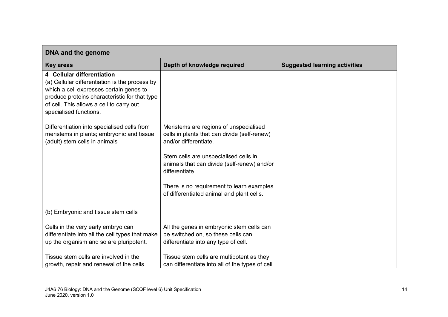| DNA and the genome                                                                                                                                                                                                                             |                                                                                                                         |                                      |
|------------------------------------------------------------------------------------------------------------------------------------------------------------------------------------------------------------------------------------------------|-------------------------------------------------------------------------------------------------------------------------|--------------------------------------|
| <b>Key areas</b>                                                                                                                                                                                                                               | Depth of knowledge required                                                                                             | <b>Suggested learning activities</b> |
| 4 Cellular differentiation<br>(a) Cellular differentiation is the process by<br>which a cell expresses certain genes to<br>produce proteins characteristic for that type<br>of cell. This allows a cell to carry out<br>specialised functions. |                                                                                                                         |                                      |
| Differentiation into specialised cells from<br>meristems in plants; embryonic and tissue<br>(adult) stem cells in animals                                                                                                                      | Meristems are regions of unspecialised<br>cells in plants that can divide (self-renew)<br>and/or differentiate.         |                                      |
|                                                                                                                                                                                                                                                | Stem cells are unspecialised cells in<br>animals that can divide (self-renew) and/or<br>differentiate.                  |                                      |
|                                                                                                                                                                                                                                                | There is no requirement to learn examples<br>of differentiated animal and plant cells.                                  |                                      |
| (b) Embryonic and tissue stem cells                                                                                                                                                                                                            |                                                                                                                         |                                      |
| Cells in the very early embryo can<br>differentiate into all the cell types that make<br>up the organism and so are pluripotent.                                                                                                               | All the genes in embryonic stem cells can<br>be switched on, so these cells can<br>differentiate into any type of cell. |                                      |
| Tissue stem cells are involved in the<br>growth, repair and renewal of the cells                                                                                                                                                               | Tissue stem cells are multipotent as they<br>can differentiate into all of the types of cell                            |                                      |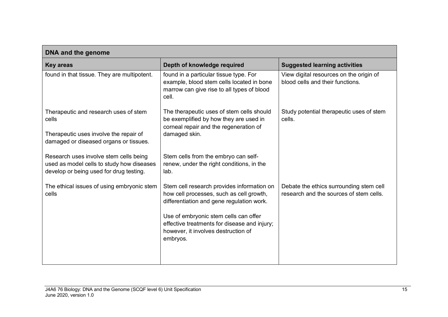| DNA and the genome                                                                                                                 |                                                                                                                                                                                                                                                                                 |                                                                                    |
|------------------------------------------------------------------------------------------------------------------------------------|---------------------------------------------------------------------------------------------------------------------------------------------------------------------------------------------------------------------------------------------------------------------------------|------------------------------------------------------------------------------------|
| <b>Key areas</b>                                                                                                                   | Depth of knowledge required                                                                                                                                                                                                                                                     | <b>Suggested learning activities</b>                                               |
| found in that tissue. They are multipotent.                                                                                        | found in a particular tissue type. For<br>example, blood stem cells located in bone<br>marrow can give rise to all types of blood<br>cell.                                                                                                                                      | View digital resources on the origin of<br>blood cells and their functions.        |
| Therapeutic and research uses of stem<br>cells<br>Therapeutic uses involve the repair of<br>damaged or diseased organs or tissues. | The therapeutic uses of stem cells should<br>be exemplified by how they are used in<br>corneal repair and the regeneration of<br>damaged skin.                                                                                                                                  | Study potential therapeutic uses of stem<br>cells.                                 |
| Research uses involve stem cells being<br>used as model cells to study how diseases<br>develop or being used for drug testing.     | Stem cells from the embryo can self-<br>renew, under the right conditions, in the<br>lab.                                                                                                                                                                                       |                                                                                    |
| The ethical issues of using embryonic stem<br>cells                                                                                | Stem cell research provides information on<br>how cell processes, such as cell growth,<br>differentiation and gene regulation work.<br>Use of embryonic stem cells can offer<br>effective treatments for disease and injury;<br>however, it involves destruction of<br>embryos. | Debate the ethics surrounding stem cell<br>research and the sources of stem cells. |
|                                                                                                                                    |                                                                                                                                                                                                                                                                                 |                                                                                    |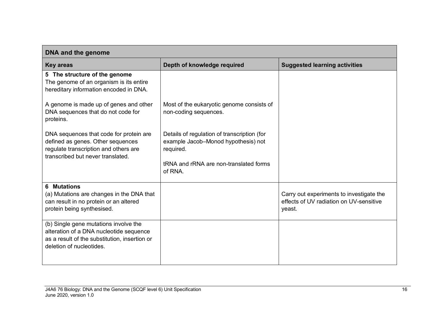| DNA and the genome                                                                                                                                            |                                                                                                                                                      |                                                                                               |
|---------------------------------------------------------------------------------------------------------------------------------------------------------------|------------------------------------------------------------------------------------------------------------------------------------------------------|-----------------------------------------------------------------------------------------------|
| <b>Key areas</b>                                                                                                                                              | Depth of knowledge required                                                                                                                          | <b>Suggested learning activities</b>                                                          |
| 5 The structure of the genome<br>The genome of an organism is its entire<br>hereditary information encoded in DNA.                                            |                                                                                                                                                      |                                                                                               |
| A genome is made up of genes and other<br>DNA sequences that do not code for<br>proteins.                                                                     | Most of the eukaryotic genome consists of<br>non-coding sequences.                                                                                   |                                                                                               |
| DNA sequences that code for protein are<br>defined as genes. Other sequences<br>regulate transcription and others are<br>transcribed but never translated.    | Details of regulation of transcription (for<br>example Jacob-Monod hypothesis) not<br>required.<br>tRNA and rRNA are non-translated forms<br>of RNA. |                                                                                               |
| <b>6 Mutations</b><br>(a) Mutations are changes in the DNA that<br>can result in no protein or an altered<br>protein being synthesised.                       |                                                                                                                                                      | Carry out experiments to investigate the<br>effects of UV radiation on UV-sensitive<br>yeast. |
| (b) Single gene mutations involve the<br>alteration of a DNA nucleotide sequence<br>as a result of the substitution, insertion or<br>deletion of nucleotides. |                                                                                                                                                      |                                                                                               |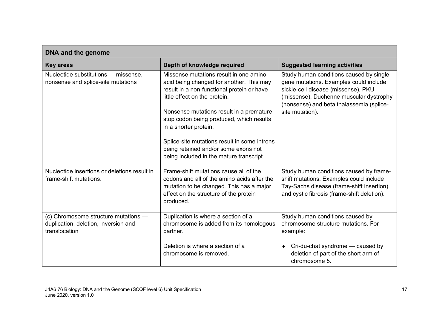| <b>DNA and the genome</b>                                                                     |                                                                                                                                                                                                                                                                                    |                                                                                                                                                                                                                                    |
|-----------------------------------------------------------------------------------------------|------------------------------------------------------------------------------------------------------------------------------------------------------------------------------------------------------------------------------------------------------------------------------------|------------------------------------------------------------------------------------------------------------------------------------------------------------------------------------------------------------------------------------|
| <b>Key areas</b>                                                                              | Depth of knowledge required                                                                                                                                                                                                                                                        | <b>Suggested learning activities</b>                                                                                                                                                                                               |
| Nucleotide substitutions - missense,<br>nonsense and splice-site mutations                    | Missense mutations result in one amino<br>acid being changed for another. This may<br>result in a non-functional protein or have<br>little effect on the protein.<br>Nonsense mutations result in a premature<br>stop codon being produced, which results<br>in a shorter protein. | Study human conditions caused by single<br>gene mutations. Examples could include<br>sickle-cell disease (missense), PKU<br>(missense), Duchenne muscular dystrophy<br>(nonsense) and beta thalassemia (splice-<br>site mutation). |
|                                                                                               | Splice-site mutations result in some introns<br>being retained and/or some exons not<br>being included in the mature transcript.                                                                                                                                                   |                                                                                                                                                                                                                                    |
| Nucleotide insertions or deletions result in<br>frame-shift mutations.                        | Frame-shift mutations cause all of the<br>codons and all of the amino acids after the<br>mutation to be changed. This has a major<br>effect on the structure of the protein<br>produced.                                                                                           | Study human conditions caused by frame-<br>shift mutations. Examples could include<br>Tay-Sachs disease (frame-shift insertion)<br>and cystic fibrosis (frame-shift deletion).                                                     |
| (c) Chromosome structure mutations -<br>duplication, deletion, inversion and<br>translocation | Duplication is where a section of a<br>chromosome is added from its homologous<br>partner.                                                                                                                                                                                         | Study human conditions caused by<br>chromosome structure mutations. For<br>example:                                                                                                                                                |
|                                                                                               | Deletion is where a section of a<br>chromosome is removed.                                                                                                                                                                                                                         | Cri-du-chat syndrome - caused by<br>deletion of part of the short arm of<br>chromosome 5.                                                                                                                                          |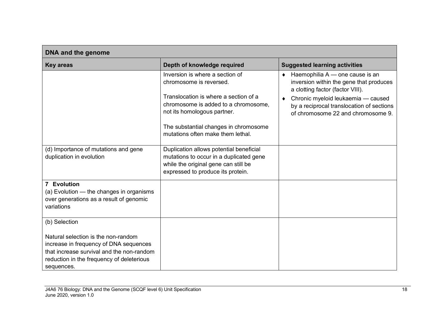| DNA and the genome                                                                                                                                                                                     |                                                                                                                                                                                                                                                          |                                                                                                                                                                                                                                                   |
|--------------------------------------------------------------------------------------------------------------------------------------------------------------------------------------------------------|----------------------------------------------------------------------------------------------------------------------------------------------------------------------------------------------------------------------------------------------------------|---------------------------------------------------------------------------------------------------------------------------------------------------------------------------------------------------------------------------------------------------|
| <b>Key areas</b>                                                                                                                                                                                       | Depth of knowledge required                                                                                                                                                                                                                              | <b>Suggested learning activities</b>                                                                                                                                                                                                              |
|                                                                                                                                                                                                        | Inversion is where a section of<br>chromosome is reversed.<br>Translocation is where a section of a<br>chromosome is added to a chromosome,<br>not its homologous partner.<br>The substantial changes in chromosome<br>mutations often make them lethal. | $\bullet$ Haemophilia A — one cause is an<br>inversion within the gene that produces<br>a clotting factor (factor VIII).<br>Chronic myeloid leukaemia - caused<br>by a reciprocal translocation of sections<br>of chromosome 22 and chromosome 9. |
| (d) Importance of mutations and gene<br>duplication in evolution                                                                                                                                       | Duplication allows potential beneficial<br>mutations to occur in a duplicated gene<br>while the original gene can still be<br>expressed to produce its protein.                                                                                          |                                                                                                                                                                                                                                                   |
| 7 Evolution<br>(a) Evolution - the changes in organisms<br>over generations as a result of genomic<br>variations                                                                                       |                                                                                                                                                                                                                                                          |                                                                                                                                                                                                                                                   |
| (b) Selection<br>Natural selection is the non-random<br>increase in frequency of DNA sequences<br>that increase survival and the non-random<br>reduction in the frequency of deleterious<br>sequences. |                                                                                                                                                                                                                                                          |                                                                                                                                                                                                                                                   |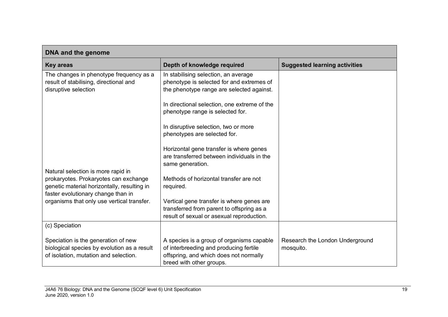| DNA and the genome                                                                                                          |                                                                                                                                                           |                                              |  |  |
|-----------------------------------------------------------------------------------------------------------------------------|-----------------------------------------------------------------------------------------------------------------------------------------------------------|----------------------------------------------|--|--|
| <b>Key areas</b>                                                                                                            | Depth of knowledge required                                                                                                                               | <b>Suggested learning activities</b>         |  |  |
| The changes in phenotype frequency as a<br>result of stabilising, directional and<br>disruptive selection                   | In stabilising selection, an average<br>phenotype is selected for and extremes of<br>the phenotype range are selected against.                            |                                              |  |  |
|                                                                                                                             | In directional selection, one extreme of the<br>phenotype range is selected for.                                                                          |                                              |  |  |
|                                                                                                                             | In disruptive selection, two or more<br>phenotypes are selected for.                                                                                      |                                              |  |  |
| Natural selection is more rapid in                                                                                          | Horizontal gene transfer is where genes<br>are transferred between individuals in the<br>same generation.                                                 |                                              |  |  |
| prokaryotes. Prokaryotes can exchange<br>genetic material horizontally, resulting in<br>faster evolutionary change than in  | Methods of horizontal transfer are not<br>required.                                                                                                       |                                              |  |  |
| organisms that only use vertical transfer.                                                                                  | Vertical gene transfer is where genes are<br>transferred from parent to offspring as a<br>result of sexual or asexual reproduction.                       |                                              |  |  |
| (c) Speciation                                                                                                              |                                                                                                                                                           |                                              |  |  |
| Speciation is the generation of new<br>biological species by evolution as a result<br>of isolation, mutation and selection. | A species is a group of organisms capable<br>of interbreeding and producing fertile<br>offspring, and which does not normally<br>breed with other groups. | Research the London Underground<br>mosquito. |  |  |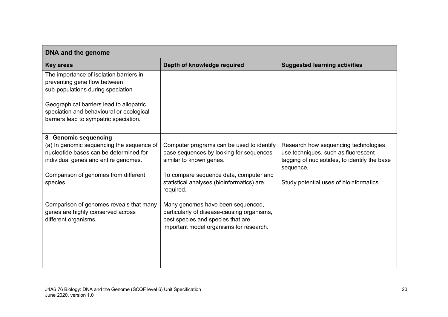| DNA and the genome                        |                                                                              |                                              |  |  |
|-------------------------------------------|------------------------------------------------------------------------------|----------------------------------------------|--|--|
| <b>Key areas</b>                          | Depth of knowledge required                                                  | <b>Suggested learning activities</b>         |  |  |
| The importance of isolation barriers in   |                                                                              |                                              |  |  |
| preventing gene flow between              |                                                                              |                                              |  |  |
| sub-populations during speciation         |                                                                              |                                              |  |  |
| Geographical barriers lead to allopatric  |                                                                              |                                              |  |  |
| speciation and behavioural or ecological  |                                                                              |                                              |  |  |
| barriers lead to sympatric speciation.    |                                                                              |                                              |  |  |
|                                           |                                                                              |                                              |  |  |
| 8 Genomic sequencing                      |                                                                              |                                              |  |  |
| (a) In genomic sequencing the sequence of | Computer programs can be used to identify                                    | Research how sequencing technologies         |  |  |
| nucleotide bases can be determined for    | base sequences by looking for sequences                                      | use techniques, such as fluorescent          |  |  |
| individual genes and entire genomes.      | similar to known genes.                                                      | tagging of nucleotides, to identify the base |  |  |
| Comparison of genomes from different      | To compare sequence data, computer and                                       | sequence.                                    |  |  |
| species                                   | statistical analyses (bioinformatics) are                                    | Study potential uses of bioinformatics.      |  |  |
|                                           | required.                                                                    |                                              |  |  |
|                                           |                                                                              |                                              |  |  |
| Comparison of genomes reveals that many   | Many genomes have been sequenced,                                            |                                              |  |  |
| genes are highly conserved across         | particularly of disease-causing organisms,                                   |                                              |  |  |
| different organisms.                      | pest species and species that are<br>important model organisms for research. |                                              |  |  |
|                                           |                                                                              |                                              |  |  |
|                                           |                                                                              |                                              |  |  |
|                                           |                                                                              |                                              |  |  |
|                                           |                                                                              |                                              |  |  |
|                                           |                                                                              |                                              |  |  |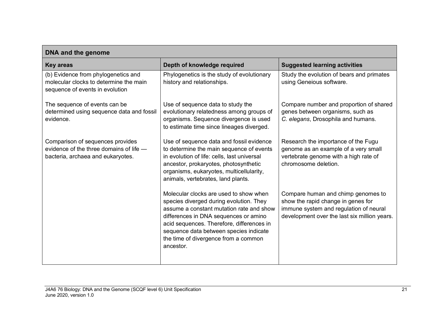| DNA and the genome                                                                                               |                                                                                                                                                                                                                                                                                                                    |                                                                                                                                                                    |  |  |
|------------------------------------------------------------------------------------------------------------------|--------------------------------------------------------------------------------------------------------------------------------------------------------------------------------------------------------------------------------------------------------------------------------------------------------------------|--------------------------------------------------------------------------------------------------------------------------------------------------------------------|--|--|
| <b>Key areas</b>                                                                                                 | Depth of knowledge required                                                                                                                                                                                                                                                                                        | <b>Suggested learning activities</b>                                                                                                                               |  |  |
| (b) Evidence from phylogenetics and<br>molecular clocks to determine the main<br>sequence of events in evolution | Phylogenetics is the study of evolutionary<br>history and relationships.                                                                                                                                                                                                                                           | Study the evolution of bears and primates<br>using Geneious software.                                                                                              |  |  |
| The sequence of events can be<br>determined using sequence data and fossil<br>evidence.                          | Use of sequence data to study the<br>evolutionary relatedness among groups of<br>organisms. Sequence divergence is used<br>to estimate time since lineages diverged.                                                                                                                                               | Compare number and proportion of shared<br>genes between organisms, such as<br>C. elegans, Drosophila and humans.                                                  |  |  |
| Comparison of sequences provides<br>evidence of the three domains of life -<br>bacteria, archaea and eukaryotes. | Use of sequence data and fossil evidence<br>to determine the main sequence of events<br>in evolution of life: cells, last universal<br>ancestor, prokaryotes, photosynthetic<br>organisms, eukaryotes, multicellularity,<br>animals, vertebrates, land plants.                                                     | Research the importance of the Fugu<br>genome as an example of a very small<br>vertebrate genome with a high rate of<br>chromosome deletion.                       |  |  |
|                                                                                                                  | Molecular clocks are used to show when<br>species diverged during evolution. They<br>assume a constant mutation rate and show<br>differences in DNA sequences or amino<br>acid sequences. Therefore, differences in<br>sequence data between species indicate<br>the time of divergence from a common<br>ancestor. | Compare human and chimp genomes to<br>show the rapid change in genes for<br>immune system and regulation of neural<br>development over the last six million years. |  |  |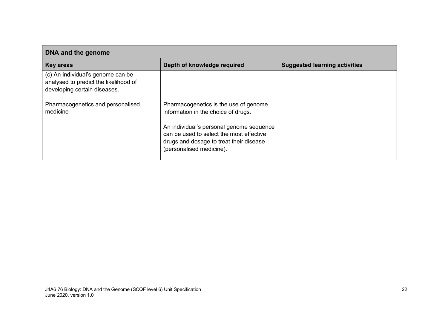| DNA and the genome                                                                                         |                                                                                                                                                             |                                      |  |  |
|------------------------------------------------------------------------------------------------------------|-------------------------------------------------------------------------------------------------------------------------------------------------------------|--------------------------------------|--|--|
| Key areas                                                                                                  | Depth of knowledge required                                                                                                                                 | <b>Suggested learning activities</b> |  |  |
| (c) An individual's genome can be<br>analysed to predict the likelihood of<br>developing certain diseases. |                                                                                                                                                             |                                      |  |  |
| Pharmacogenetics and personalised<br>medicine                                                              | Pharmacogenetics is the use of genome<br>information in the choice of drugs.                                                                                |                                      |  |  |
|                                                                                                            | An individual's personal genome sequence<br>can be used to select the most effective<br>drugs and dosage to treat their disease<br>(personalised medicine). |                                      |  |  |